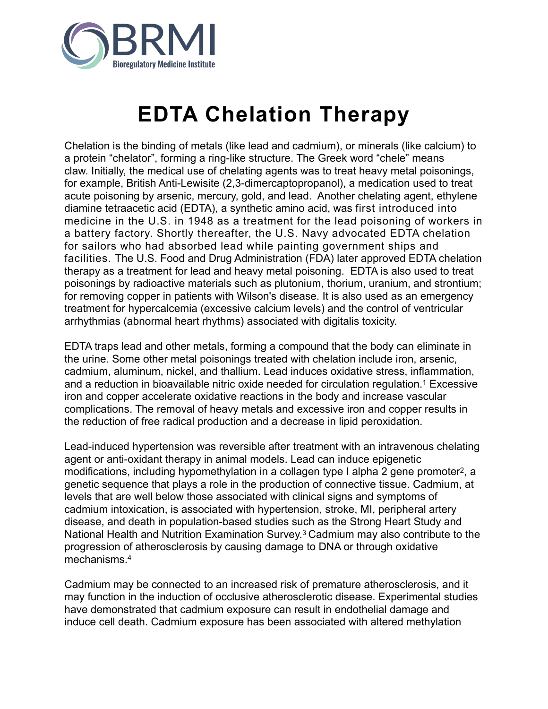

## **EDTA Chelation Therapy**

Chelation is the binding of metals (like lead and cadmium), or minerals (like calcium) to a protein "chelator", forming a ring-like structure. The Greek word "chele" means claw. Initially, the medical use of chelating agents was to treat heavy metal poisonings, for example, British Anti-Lewisite (2,3-dimercaptopropanol), a [medication](https://en.wikipedia.org/wiki/Medication) used to treat acute poisoning by arsenic, mercury, gold, and lead. Another chelating agent, ethylene diamine tetraacetic acid (EDTA), a synthetic amino acid, was first introduced into medicine in the U.S. in 1948 as a treatment for the lead poisoning of workers in a battery factory. Shortly thereafter, the U.S. Navy advocated EDTA chelation for sailors who had absorbed lead while painting government ships and facilities. The U.S. Food and Drug Administration (FDA) later approved EDTA chelation therapy as a treatment for lead and heavy metal poisoning. EDTA is also used to treat poisonings by radioactive materials such as plutonium, thorium, uranium, and strontium; for removing copper in patients with Wilson's disease. It is also used as an emergency treatment for hypercalcemia (excessive calcium levels) and the control of ventricular arrhythmias (abnormal heart rhythms) associated with digitalis toxicity.

EDTA traps lead and other metals, forming a compound that the body can eliminate in the urine. Some other metal poisonings treated with chelation include iron, arsenic, cadmium, aluminum, nickel, and thallium. Lead induces oxidative stress, inflammation, and a reduction in bioavailable nitric oxide needed for circulation regulation.1 Excessive iron and copper accelerate oxidative reactions in the body and increase vascular complications. The removal of heavy metals and excessive iron and copper results in the reduction of free radical production and a decrease in lipid peroxidation.

Lead-induced hypertension was reversible after treatment with an intravenous chelating agent or anti-oxidant therapy in animal models. Lead can induce epigenetic modifications, including hypomethylation in a collagen type I alpha 2 gene promoter<sup>2</sup>, a genetic sequence that plays a role in the production of connective tissue. Cadmium, at levels that are well below those associated with clinical signs and symptoms of cadmium intoxication, is associated with hypertension, stroke, MI, peripheral artery disease, and death in population-based studies such as the Strong Heart Study and National Health and Nutrition Examination Survey.3 Cadmium may also contribute to the progression of atherosclerosis by causing damage to DNA or through oxidative mechanisms.4

Cadmium may be connected to an increased risk of premature atherosclerosis, and it may function in the induction of occlusive atherosclerotic disease. Experimental studies have demonstrated that cadmium exposure can result in endothelial damage and induce cell death. Cadmium exposure has been associated with altered methylation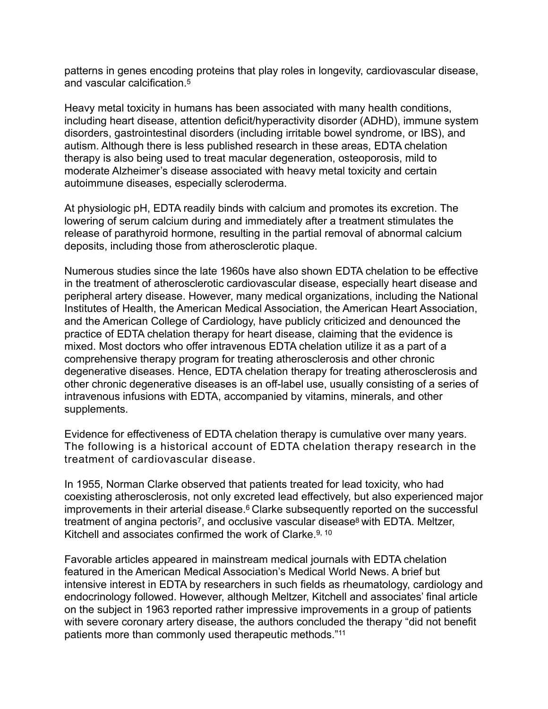patterns in genes encoding proteins that play roles in longevity, cardiovascular disease, and vascular calcification.5

Heavy metal toxicity in humans has been associated with many health conditions, including heart disease, attention deficit/hyperactivity disorder (ADHD), immune system disorders, gastrointestinal disorders (including irritable bowel syndrome, or IBS), and autism. Although there is less published research in these areas, EDTA chelation therapy is also being used to treat macular degeneration, osteoporosis, mild to moderate Alzheimer's disease associated with heavy metal toxicity and certain autoimmune diseases, especially scleroderma.

At physiologic pH, EDTA readily binds with calcium and promotes its excretion. The lowering of serum calcium during and immediately after a treatment stimulates the release of parathyroid hormone, resulting in the partial removal of abnormal calcium deposits, including those from atherosclerotic plaque.

Numerous studies since the late 1960s have also shown EDTA chelation to be effective in the treatment of atherosclerotic cardiovascular disease, especially heart disease and peripheral artery disease. However, many medical organizations, including the National Institutes of Health, the American Medical Association, the American Heart Association, and the American College of Cardiology, have publicly criticized and denounced the practice of EDTA chelation therapy for heart disease, claiming that the evidence is mixed. Most doctors who offer intravenous EDTA chelation utilize it as a part of a comprehensive therapy program for treating atherosclerosis and other chronic degenerative diseases. Hence, EDTA chelation therapy for treating atherosclerosis and other chronic degenerative diseases is an off-label use, usually consisting of a series of intravenous infusions with EDTA, accompanied by vitamins, minerals, and other supplements.

Evidence for effectiveness of EDTA chelation therapy is cumulative over many years. The following is a historical account of EDTA chelation therapy research in the treatment of cardiovascular disease.

In 1955, Norman Clarke observed that patients treated for lead toxicity, who had coexisting atherosclerosis, not only excreted lead effectively, but also experienced major improvements in their arterial disease.<sup>6</sup> Clarke subsequently reported on the successful treatment of angina pectoris<sup>7</sup>, and occlusive vascular disease<sup>8</sup> with EDTA. Meltzer, Kitchell and associates confirmed the work of Clarke. 9, 10

Favorable articles appeared in mainstream medical journals with EDTA chelation featured in the American Medical Association's Medical World News. A brief but intensive interest in EDTA by researchers in such fields as rheumatology, cardiology and endocrinology followed. However, although Meltzer, Kitchell and associates' final article on the subject in 1963 reported rather impressive improvements in a group of patients with severe coronary artery disease, the authors concluded the therapy "did not benefit patients more than commonly used therapeutic methods."11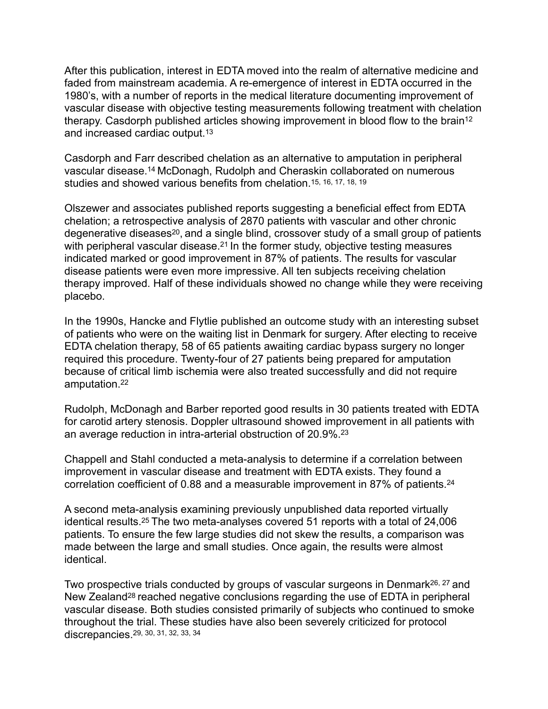After this publication, interest in EDTA moved into the realm of alternative medicine and faded from mainstream academia. A re-emergence of interest in EDTA occurred in the 1980's, with a number of reports in the medical literature documenting improvement of vascular disease with objective testing measurements following treatment with chelation therapy. Casdorph published articles showing improvement in blood flow to the brain<sup>12</sup> and increased cardiac output.13

Casdorph and Farr described chelation as an alternative to amputation in peripheral vascular disease.14 McDonagh, Rudolph and Cheraskin collaborated on numerous studies and showed various benefits from chelation.15, 16, 17, 18, 19

Olszewer and associates published reports suggesting a beneficial effect from EDTA chelation; a retrospective analysis of 2870 patients with vascular and other chronic degenerative diseases<sup>20</sup>, and a single blind, crossover study of a small group of patients with peripheral vascular disease.<sup>21</sup> In the former study, objective testing measures indicated marked or good improvement in 87% of patients. The results for vascular disease patients were even more impressive. All ten subjects receiving chelation therapy improved. Half of these individuals showed no change while they were receiving placebo.

In the 1990s, Hancke and Flytlie published an outcome study with an interesting subset of patients who were on the waiting list in Denmark for surgery. After electing to receive EDTA chelation therapy, 58 of 65 patients awaiting cardiac bypass surgery no longer required this procedure. Twenty-four of 27 patients being prepared for amputation because of critical limb ischemia were also treated successfully and did not require amputation.22

Rudolph, McDonagh and Barber reported good results in 30 patients treated with EDTA for carotid artery stenosis. Doppler ultrasound showed improvement in all patients with an average reduction in intra-arterial obstruction of 20.9%.23

Chappell and Stahl conducted a meta-analysis to determine if a correlation between improvement in vascular disease and treatment with EDTA exists. They found a correlation coefficient of 0.88 and a measurable improvement in 87% of patients.24

A second meta-analysis examining previously unpublished data reported virtually identical results.25 The two meta-analyses covered 51 reports with a total of 24,006 patients. To ensure the few large studies did not skew the results, a comparison was made between the large and small studies. Once again, the results were almost identical.

Two prospective trials conducted by groups of vascular surgeons in Denmark<sup>26, 27</sup> and New Zealand28 reached negative conclusions regarding the use of EDTA in peripheral vascular disease. Both studies consisted primarily of subjects who continued to smoke throughout the trial. These studies have also been severely criticized for protocol discrepancies.29, 30, 31, 32, 33, 34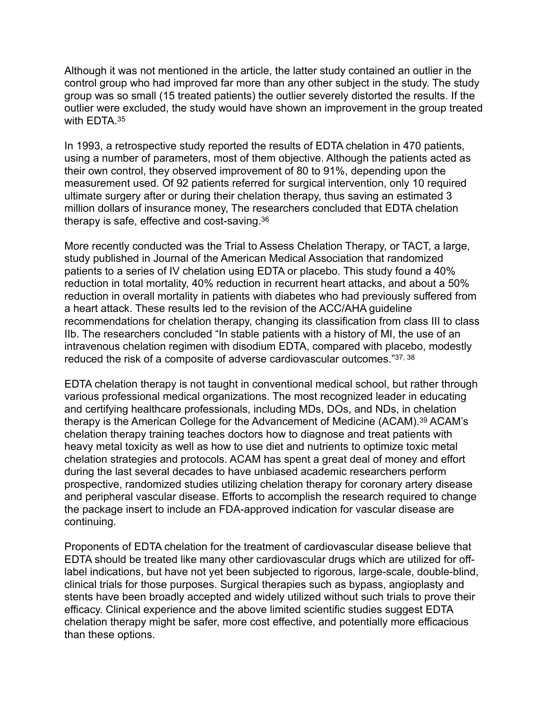Although it was not mentioned in the article, the latter study contained an outlier in the control group who had improved far more than any other subject in the study. The study group was so small (15 treated patients) the outlier severely distorted the results. If the outlier were excluded, the study would have shown an improvement in the group treated with FDTA 35

In 1993, a retrospective study reported the results of EDTA chelation in 470 patients, using a number of parameters, most of them objective. Although the patients acted as their own control, they observed improvement of 80 to 91%, depending upon the measurement used. Of 92 patients referred for surgical intervention, only 10 required ultimate surgery after or during their chelation therapy, thus saving an estimated 3 million dollars of insurance money, The researchers concluded that EDTA chelation therapy is safe, effective and cost-saving.36

More recently conducted was the Trial to Assess Chelation Therapy, or TACT, a large, study published in Journal of the American Medical Association that randomized patients to a series of IV chelation using EDTA or placebo. This study found a 40% reduction in total mortality, 40% reduction in recurrent heart attacks, and about a 50% reduction in overall mortality in patients with diabetes who had previously suffered from a heart attack. These results led to the revision of the ACC/AHA guideline recommendations for chelation therapy, changing its classification from class III to class IIb. The researchers concluded "In stable patients with a history of MI, the use of an intravenous chelation regimen with disodium EDTA, compared with placebo, modestly reduced the risk of a composite of adverse cardiovascular outcomes."37, 38

EDTA chelation therapy is not taught in conventional medical school, but rather through various professional medical organizations. The most recognized leader in educating and certifying healthcare professionals, including MDs, DOs, and NDs, in chelation therapy is the American College for the Advancement of Medicine (ACAM).39 ACAM's chelation therapy training teaches doctors how to diagnose and treat patients with heavy metal toxicity as well as how to use diet and nutrients to optimize toxic metal chelation strategies and protocols. ACAM has spent a great deal of money and effort during the last several decades to have unbiased academic researchers perform prospective, randomized studies utilizing chelation therapy for coronary artery disease and peripheral vascular disease. Efforts to accomplish the research required to change the package insert to include an FDA-approved indication for vascular disease are continuing.

Proponents of EDTA chelation for the treatment of cardiovascular disease believe that EDTA should be treated like many other cardiovascular drugs which are utilized for offlabel indications, but have not yet been subjected to rigorous, large-scale, double-blind, clinical trials for those purposes. Surgical therapies such as bypass, angioplasty and stents have been broadly accepted and widely utilized without such trials to prove their efficacy. Clinical experience and the above limited scientific studies suggest EDTA chelation therapy might be safer, more cost effective, and potentially more efficacious than these options.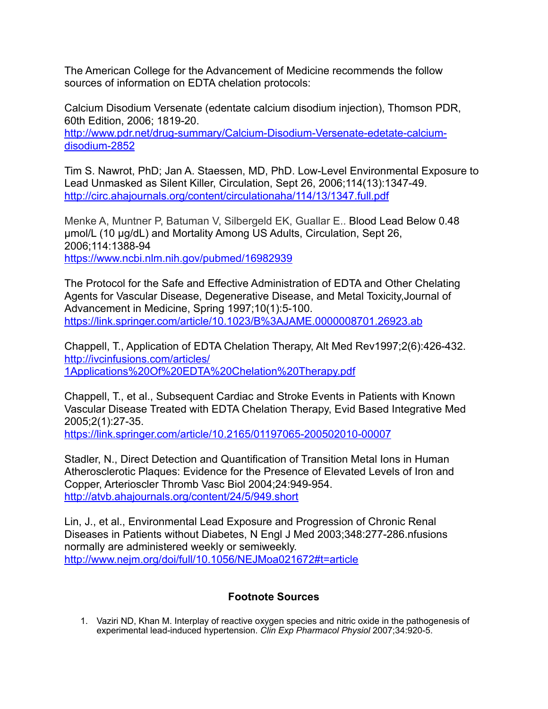The American College for the Advancement of Medicine recommends the follow sources of information on EDTA chelation protocols:

Calcium Disodium Versenate (edentate calcium disodium injection), Thomson PDR, 60th Edition, 2006; 1819-20.

[http://www.pdr.net/drug-summary/Calcium-Disodium-Versenate-edetate-calcium](http://www.pdr.net/drug-summary/Calcium-Disodium-Versenate-edetate-calcium-disodium-2852)[disodium-2852](http://www.pdr.net/drug-summary/Calcium-Disodium-Versenate-edetate-calcium-disodium-2852)

Tim S. Nawrot, PhD; Jan A. Staessen, MD, PhD. Low-Level Environmental Exposure to Lead Unmasked as Silent Killer, Circulation, Sept 26, 2006;114(13):1347-49. <http://circ.ahajournals.org/content/circulationaha/114/13/1347.full.pdf>

Menke A, Muntner P, Batuman V, Silbergeld EK, Guallar E.. Blood Lead Below 0.48 µmol/L (10 µg/dL) and Mortality Among US Adults, Circulation, Sept 26, 2006;114:1388-94 <https://www.ncbi.nlm.nih.gov/pubmed/16982939>

The Protocol for the Safe and Effective Administration of EDTA and Other Chelating Agents for Vascular Disease, Degenerative Disease, and Metal Toxicity,Journal of Advancement in Medicine, Spring 1997;10(1):5-100. [https://link.springer.com/article/10.1023/B%3AJAME.0000008701.26923.ab](https://link.springer.com/article/10.1023/B%253AJAME.0000008701.26923.ab)

Chappell, T., Application of EDTA Chelation Therapy, Alt Med Rev1997;2(6):426-432. [http://ivcinfusions.com/articles/](http://ivcinfusions.com/articles/1Applications%2520Of%2520EDTA%2520Chelation%2520Therapy.pdf) [1Applications%20Of%20EDTA%20Chelation%20Therapy.pdf](http://ivcinfusions.com/articles/1Applications%2520Of%2520EDTA%2520Chelation%2520Therapy.pdf)

Chappell, T., et al., Subsequent Cardiac and Stroke Events in Patients with Known Vascular Disease Treated with EDTA Chelation Therapy, Evid Based Integrative Med 2005;2(1):27-35.

<https://link.springer.com/article/10.2165/01197065-200502010-00007>

Stadler, N., Direct Detection and Quantification of Transition Metal Ions in Human Atherosclerotic Plaques: Evidence for the Presence of Elevated Levels of Iron and Copper, Arterioscler Thromb Vasc Biol 2004;24:949-954. <http://atvb.ahajournals.org/content/24/5/949.short>

Lin, J., et al., Environmental Lead Exposure and Progression of Chronic Renal Diseases in Patients without Diabetes, N Engl J Med 2003;348:277-286.nfusions normally are administered weekly or semiweekly. <http://www.nejm.org/doi/full/10.1056/NEJMoa021672#t=article>

## **Footnote Sources**

1. Vaziri ND, Khan M. Interplay of reactive oxygen species and nitric oxide in the pathogenesis of experimental lead-induced hypertension. *Clin Exp Pharmacol Physiol* 2007;34:920-5.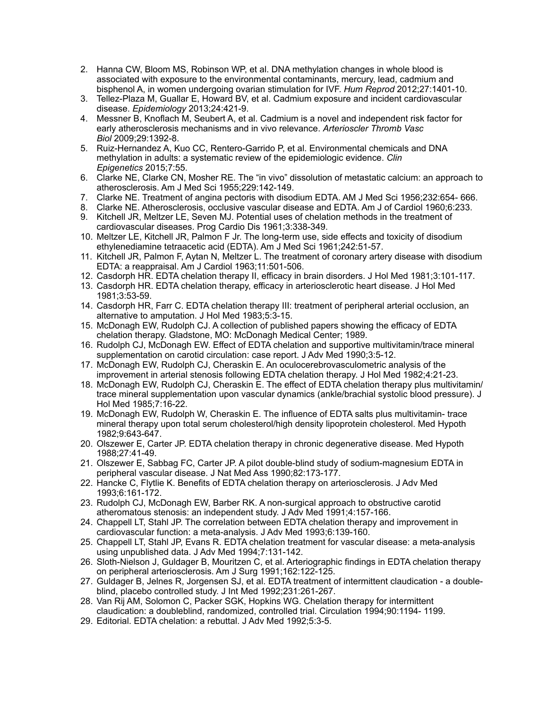- 2. Hanna CW, Bloom MS, Robinson WP, et al. DNA methylation changes in whole blood is associated with exposure to the environmental contaminants, mercury, lead, cadmium and bisphenol A, in women undergoing ovarian stimulation for IVF. *Hum Reprod* 2012;27:1401-10.
- 3. Tellez-Plaza M, Guallar E, Howard BV, et al. Cadmium exposure and incident cardiovascular disease. *Epidemiology* 2013;24:421-9.
- 4. Messner B, Knoflach M, Seubert A, et al. Cadmium is a novel and independent risk factor for early atherosclerosis mechanisms and in vivo relevance. *Arterioscler Thromb Vasc Biol* 2009;29:1392-8.
- 5. Ruiz-Hernandez A, Kuo CC, Rentero-Garrido P, et al. Environmental chemicals and DNA methylation in adults: a systematic review of the epidemiologic evidence. *Clin Epigenetics* 2015;7:55.
- 6. Clarke NE, Clarke CN, Mosher RE. The "in vivo" dissolution of metastatic calcium: an approach to atherosclerosis. Am J Med Sci 1955;229:142-149.
- 7. Clarke NE. Treatment of angina pectoris with disodium EDTA. AM J Med Sci 1956;232:654- 666.
- 8. Clarke NE. Atherosclerosis, occlusive vascular disease and EDTA. Am J of Cardiol 1960;6:233.
- 9. Kitchell JR, Meltzer LE, Seven MJ. Potential uses of chelation methods in the treatment of cardiovascular diseases. Prog Cardio Dis 1961;3:338-349.
- 10. Meltzer LE, Kitchell JR, Palmon F Jr. The long-term use, side effects and toxicity of disodium ethylenediamine tetraacetic acid (EDTA). Am J Med Sci 1961;242:51-57.
- 11. Kitchell JR, Palmon F, Aytan N, Meltzer L. The treatment of coronary artery disease with disodium EDTA: a reappraisal. Am J Cardiol 1963;11:501-506.
- 12. Casdorph HR. EDTA chelation therapy II, efficacy in brain disorders. J Hol Med 1981;3:101-117.
- 13. Casdorph HR. EDTA chelation therapy, efficacy in arteriosclerotic heart disease. J Hol Med 1981;3:53-59.
- 14. Casdorph HR, Farr C. EDTA chelation therapy III: treatment of peripheral arterial occlusion, an alternative to amputation. J Hol Med 1983;5:3-15.
- 15. McDonagh EW, Rudolph CJ. A collection of published papers showing the efficacy of EDTA chelation therapy. Gladstone, MO: McDonagh Medical Center; 1989.
- 16. Rudolph CJ, McDonagh EW. Effect of EDTA chelation and supportive multivitamin/trace mineral supplementation on carotid circulation: case report. J Adv Med 1990;3:5-12.
- 17. McDonagh EW, Rudolph CJ, Cheraskin E. An oculocerebrovasculometric analysis of the improvement in arterial stenosis following EDTA chelation therapy. J Hol Med 1982;4:21-23.
- 18. McDonagh EW, Rudolph CJ, Cheraskin E. The effect of EDTA chelation therapy plus multivitamin/ trace mineral supplementation upon vascular dynamics (ankle/brachial systolic blood pressure). J Hol Med 1985;7:16-22.
- 19. McDonagh EW, Rudolph W, Cheraskin E. The influence of EDTA salts plus multivitamin- trace mineral therapy upon total serum cholesterol/high density lipoprotein cholesterol. Med Hypoth 1982;9:643-647.
- 20. Olszewer E, Carter JP. EDTA chelation therapy in chronic degenerative disease. Med Hypoth 1988;27:41-49.
- 21. Olszewer E, Sabbag FC, Carter JP. A pilot double-blind study of sodium-magnesium EDTA in peripheral vascular disease. J Nat Med Ass 1990;82:173-177.
- 22. Hancke C, Flytlie K. Benefits of EDTA chelation therapy on arteriosclerosis. J Adv Med 1993;6:161-172.
- 23. Rudolph CJ, McDonagh EW, Barber RK. A non-surgical approach to obstructive carotid atheromatous stenosis: an independent study. J Adv Med 1991;4:157-166.
- 24. Chappell LT, Stahl JP. The correlation between EDTA chelation therapy and improvement in cardiovascular function: a meta-analysis. J Adv Med 1993;6:139-160.
- 25. Chappell LT, Stahl JP, Evans R. EDTA chelation treatment for vascular disease: a meta-analysis using unpublished data. J Adv Med 1994;7:131-142.
- 26. Sloth-Nielson J, Guldager B, Mouritzen C, et al. Arteriographic findings in EDTA chelation therapy on peripheral arteriosclerosis. Am J Surg 1991;162:122-125.
- 27. Guldager B, Jelnes R, Jorgensen SJ, et al. EDTA treatment of intermittent claudication a doubleblind, placebo controlled study. J Int Med 1992;231:261-267.
- 28. Van Rij AM, Solomon C, Packer SGK, Hopkins WG. Chelation therapy for intermittent claudication: a doubleblind, randomized, controlled trial. Circulation 1994;90:1194- 1199.
- 29. Editorial. EDTA chelation: a rebuttal. J Adv Med 1992;5:3-5.